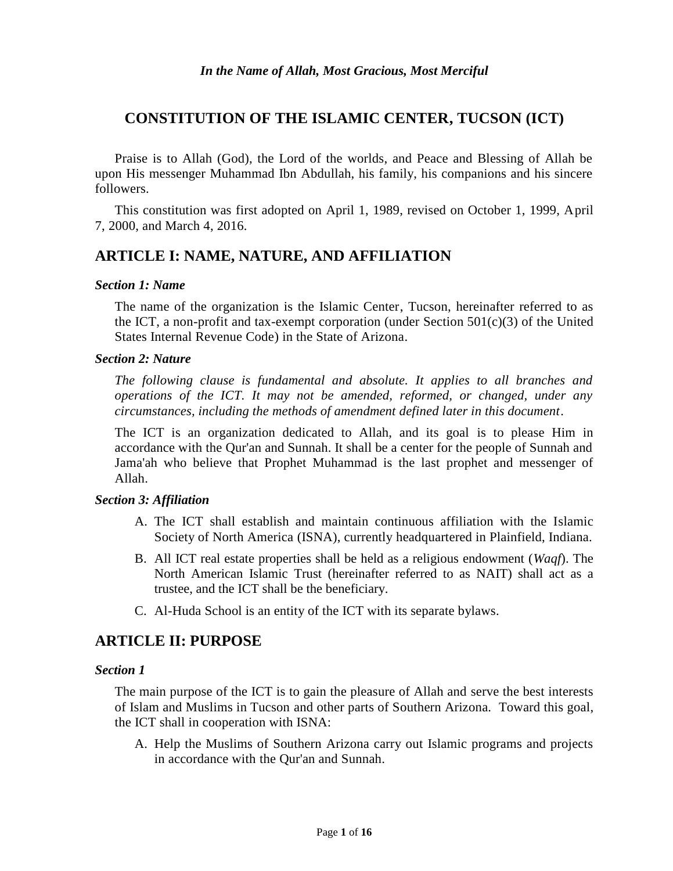# **CONSTITUTION OF THE ISLAMIC CENTER, TUCSON (ICT)**

Praise is to Allah (God), the Lord of the worlds, and Peace and Blessing of Allah be upon His messenger Muhammad Ibn Abdullah, his family, his companions and his sincere followers.

This constitution was first adopted on April 1, 1989, revised on October 1, 1999, April 7, 2000, and March 4, 2016.

# **ARTICLE I: NAME, NATURE, AND AFFILIATION**

### *Section 1: Name*

The name of the organization is the Islamic Center, Tucson, hereinafter referred to as the ICT, a non-profit and tax-exempt corporation (under Section  $501(c)(3)$  of the United States Internal Revenue Code) in the State of Arizona.

## *Section 2: Nature*

*The following clause is fundamental and absolute. It applies to all branches and operations of the ICT. It may not be amended, reformed, or changed, under any circumstances, including the methods of amendment defined later in this document.*

The ICT is an organization dedicated to Allah, and its goal is to please Him in accordance with the Qur'an and Sunnah. It shall be a center for the people of Sunnah and Jama'ah who believe that Prophet Muhammad is the last prophet and messenger of Allah.

## *Section 3: Affiliation*

- A. The ICT shall establish and maintain continuous affiliation with the Islamic Society of North America (ISNA), currently headquartered in Plainfield, Indiana.
- B. All ICT real estate properties shall be held as a religious endowment (*Waqf*). The North American Islamic Trust (hereinafter referred to as NAIT) shall act as a trustee, and the ICT shall be the beneficiary.
- C. Al-Huda School is an entity of the ICT with its separate bylaws.

# **ARTICLE II: PURPOSE**

### *Section 1*

The main purpose of the ICT is to gain the pleasure of Allah and serve the best interests of Islam and Muslims in Tucson and other parts of Southern Arizona. Toward this goal, the ICT shall in cooperation with ISNA:

A. Help the Muslims of Southern Arizona carry out Islamic programs and projects in accordance with the Qur'an and Sunnah.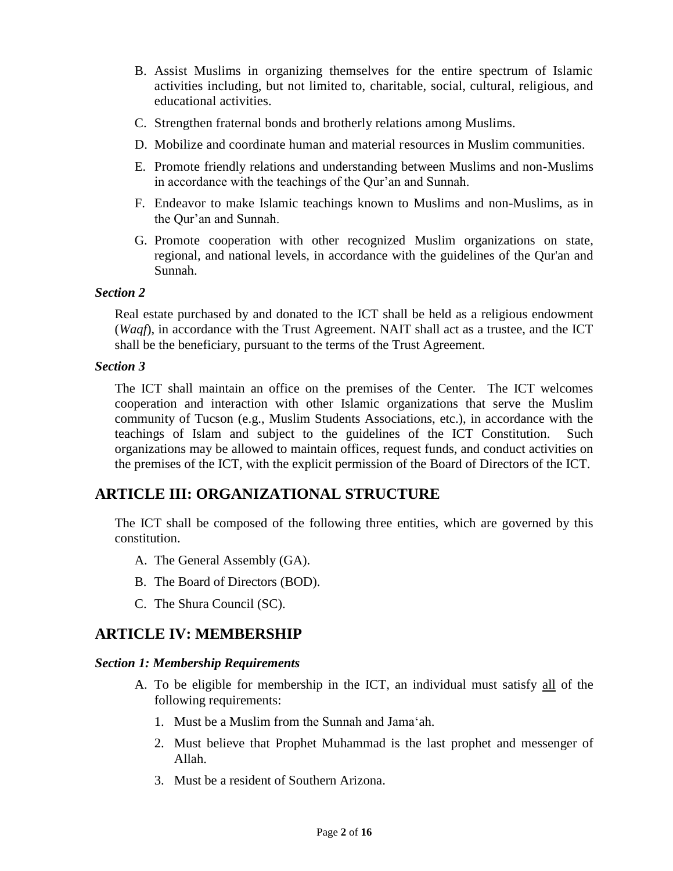- B. Assist Muslims in organizing themselves for the entire spectrum of Islamic activities including, but not limited to, charitable, social, cultural, religious, and educational activities.
- C. Strengthen fraternal bonds and brotherly relations among Muslims.
- D. Mobilize and coordinate human and material resources in Muslim communities.
- E. Promote friendly relations and understanding between Muslims and non-Muslims in accordance with the teachings of the Qur'an and Sunnah.
- F. Endeavor to make Islamic teachings known to Muslims and non-Muslims, as in the Qur'an and Sunnah.
- G. Promote cooperation with other recognized Muslim organizations on state, regional, and national [levels,](http://levels.in/) in accordance with the guidelines of the Qur'an and Sunnah.

#### *Section 2*

Real estate purchased by and donated to the ICT shall be held as a religious endowment (*Waqf*), in accordance with the Trust Agreement. NAIT shall act as a trustee, and the ICT shall be the beneficiary, pursuant to the terms of the Trust Agreement.

#### *Section 3*

The ICT shall maintain an office on the premises of the Center. The ICT welcomes cooperation and interaction with other Islamic organizations that serve the Muslim community of Tucson (e.g., Muslim Students Associations, etc.), in accordance with the teachings of Islam and subject to the guidelines of the ICT Constitution. Such organizations may be allowed to maintain offices, request funds, and conduct activities on the premises of the ICT, with the explicit permission of the Board of Directors of the ICT.

## **ARTICLE III: ORGANIZATIONAL STRUCTURE**

The ICT shall be composed of the following three entities, which are governed by this constitution.

- A. The General Assembly (GA).
- B. The Board of Directors (BOD).
- C. The Shura Council (SC).

## **ARTICLE IV: MEMBERSHIP**

#### *Section 1: Membership Requirements*

- A. To be eligible for membership in the ICT, an individual must satisfy all of the following requirements:
	- 1. Must be a Muslim from the Sunnah and Jama'ah.
	- 2. Must believe that Prophet Muhammad is the last prophet and messenger of Allah.
	- 3. Must be a resident of Southern Arizona.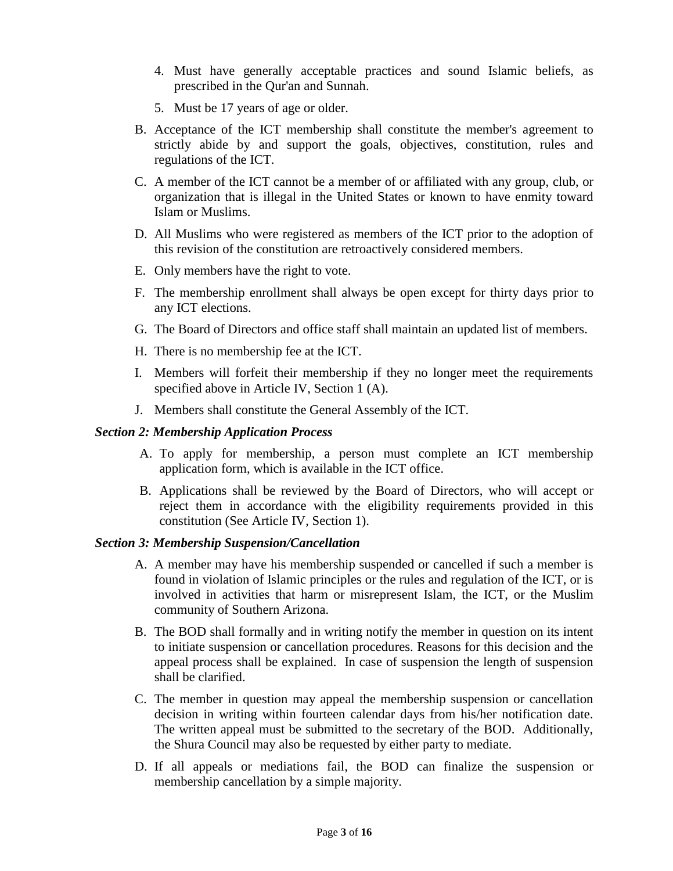- 4. Must have generally acceptable practices and sound Islamic beliefs, as prescribed in the Qur'an and Sunnah.
- 5. Must be 17 years of age or older.
- B. Acceptance of the ICT membership shall constitute the member's agreement to strictly abide by and support the goals, objectives, constitution, rules and regulations of the ICT.
- C. A member of the ICT cannot be a member of or affiliated with any group, club, or organization that is illegal in the United States or known to have enmity toward Islam or Muslims.
- D. All Muslims who were registered as members of the ICT prior to the adoption of this revision of the constitution are retroactively considered members.
- E. Only members have the right to vote.
- F. The membership enrollment shall always be open except for thirty days prior to any ICT elections.
- G. The Board of Directors and office staff shall maintain an updated list of members.
- H. There is no membership fee at the ICT.
- I. Members will forfeit their membership if they no longer meet the requirements specified above in Article IV, Section 1 (A).
- J. Members shall constitute the General Assembly of the ICT.

## *Section 2: Membership Application Process*

- A. To apply for membership, a person must complete an ICT membership application form, which is available in the ICT office.
- B. Applications shall be reviewed by the Board of Directors, who will accept or reject them in accordance with the eligibility requirements provided in this constitution (See Article IV, Section 1).

## *Section 3: Membership Suspension/Cancellation*

- A. A member may have his membership suspended or cancelled if such a member is found in violation of Islamic principles or the rules and regulation of the ICT, or is involved in activities that harm or misrepresent Islam, the ICT, or the Muslim community of Southern Arizona.
- B. The BOD shall formally and in writing notify the member in question on its intent to initiate suspension or cancellation procedures. Reasons for this decision and the appeal process shall be explained. In case of suspension the length of suspension shall be clarified.
- C. The member in question may appeal the membership suspension or cancellation decision in writing within fourteen calendar days from his/her notification date. The written appeal must be submitted to the secretary of the BOD. Additionally, the Shura Council may also be requested by either party to mediate.
- D. If all appeals or mediations fail, the BOD can finalize the suspension or membership cancellation by a simple majority.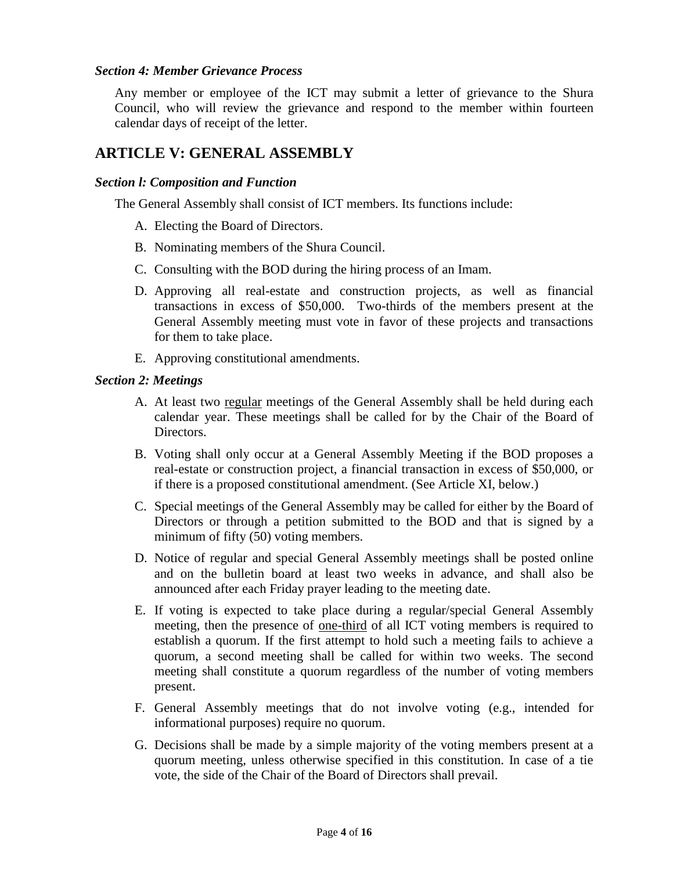### *Section 4: Member Grievance Process*

Any member or employee of the ICT may submit a letter of grievance to the Shura Council, who will review the grievance and respond to the member within fourteen calendar days of receipt of the letter.

# **ARTICLE V: GENERAL ASSEMBLY**

### *Section l: Composition and Function*

The General Assembly shall consist of ICT members. Its functions include:

- A. Electing the Board of Directors.
- B. Nominating members of the Shura Council.
- C. Consulting with the BOD during the hiring process of an Imam.
- D. Approving all real-estate and construction projects, as well as financial transactions in excess of \$50,000. Two-thirds of the members present at the General Assembly meeting must vote in favor of these projects and transactions for them to take place.
- E. Approving constitutional amendments.

### *Section 2: Meetings*

- A. At least two regular meetings of the General Assembly shall be held during each calendar year. These meetings shall be called for by the Chair of the Board of Directors.
- B. Voting shall only occur at a General Assembly Meeting if the BOD proposes a real-estate or construction project, a financial transaction in excess of \$50,000, or if there is a proposed constitutional amendment. (See Article XI, below.)
- C. Special meetings of the General Assembly may be called for either by the Board of Directors or through a petition submitted to the BOD and that is signed by a minimum of fifty (50) voting members.
- D. Notice of regular and special General Assembly meetings shall be posted online and on the bulletin board at least two weeks in advance, and shall also be announced after each Friday prayer leading to the meeting date.
- E. If voting is expected to take place during a regular/special General Assembly meeting, then the presence of one-third of all ICT voting members is required to establish a quorum. If the first attempt to hold such a meeting fails to achieve a quorum, a second meeting shall be called for within two weeks. The second meeting shall constitute a quorum regardless of the number of voting members present.
- F. General Assembly meetings that do not involve voting (e.g., intended for informational purposes) require no quorum.
- G. Decisions shall be made by a simple majority of the voting members present at a quorum meeting, unless otherwise specified in this constitution. In case of a tie vote, the side of the Chair of the Board of Directors shall prevail.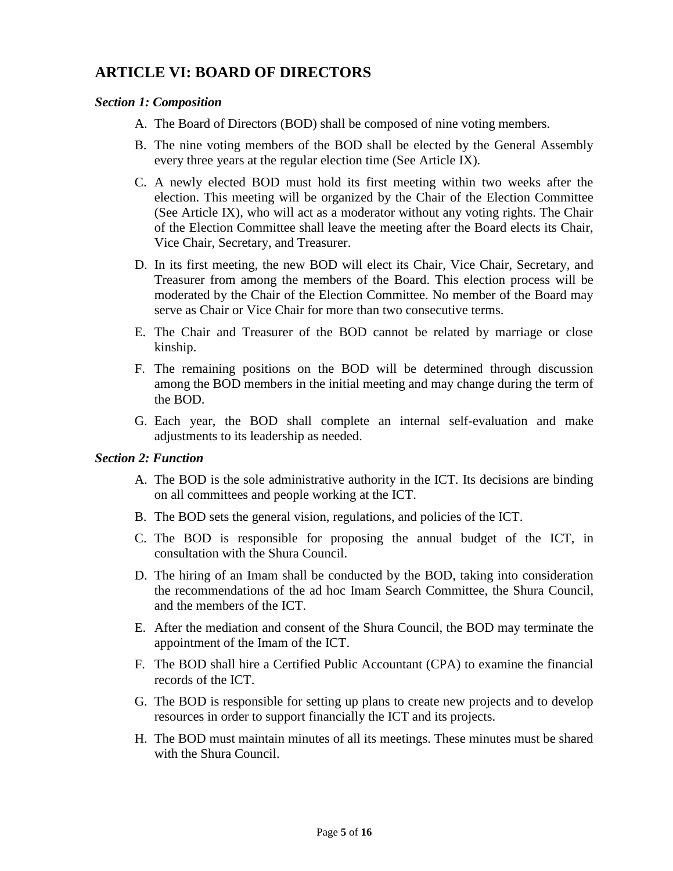# **ARTICLE VI: BOARD OF DIRECTORS**

### *Section 1: Composition*

- A. The Board of Directors (BOD) shall be composed of nine voting members.
- B. The nine voting members of the BOD shall be elected by the General Assembly every three years at the regular election time (See Article IX).
- C. A newly elected BOD must hold its first meeting within two weeks after the election. This meeting will be organized by the Chair of the Election Committee (See Article IX), who will act as a moderator without any voting rights. The Chair of the Election Committee shall leave the meeting after the Board elects its Chair, Vice Chair, Secretary, and Treasurer.
- D. In its first meeting, the new BOD will elect its Chair, Vice Chair, Secretary, and Treasurer from among the members of the Board. This election process will be moderated by the Chair of the Election Committee. No member of the Board may serve as Chair or Vice Chair for more than two consecutive terms.
- E. The Chair and Treasurer of the BOD cannot be related by marriage or close kinship.
- F. The remaining positions on the BOD will be determined through discussion among the BOD members in the initial meeting and may change during the term of the BOD.
- G. Each year, the BOD shall complete an internal self-evaluation and make adjustments to its leadership as needed.

### *Section 2: Function*

- A. The BOD is the sole administrative authority in the ICT. Its decisions are binding on all committees and people working at the ICT.
- B. The BOD sets the general vision, regulations, and policies of the ICT.
- C. The BOD is responsible for proposing the annual budget of the ICT, in consultation with the Shura Council.
- D. The hiring of an Imam shall be conducted by the BOD, taking into consideration the recommendations of the ad hoc Imam Search Committee, the Shura Council, and the members of the ICT.
- E. After the mediation and consent of the Shura Council, the BOD may terminate the appointment of the Imam of the ICT.
- F. The BOD shall hire a Certified Public Accountant (CPA) to examine the financial records of the ICT.
- G. The BOD is responsible for setting up plans to create new projects and to develop resources in order to support financially the ICT and its projects.
- H. The BOD must maintain minutes of all its meetings. These minutes must be shared with the Shura Council.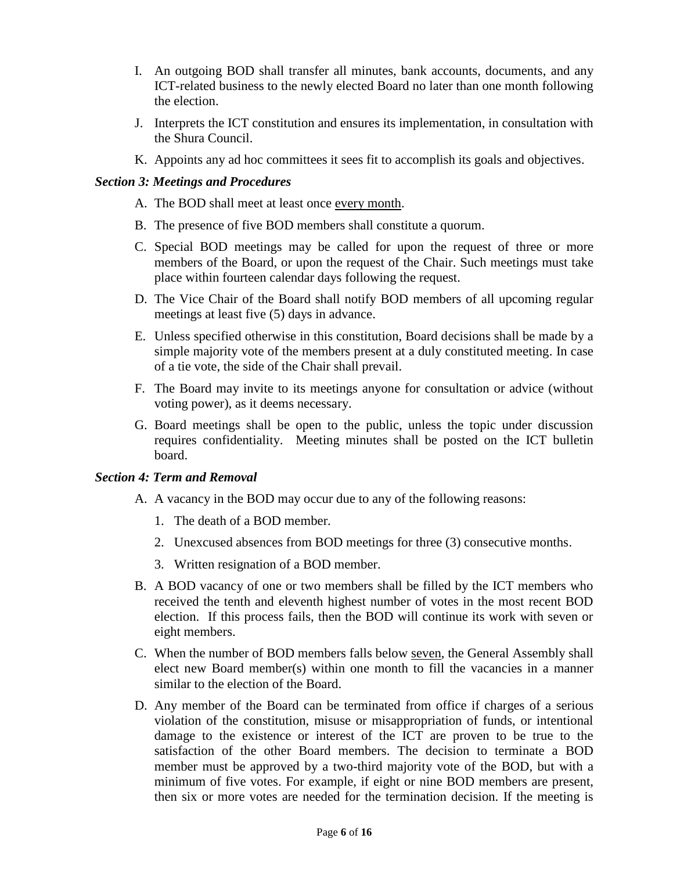- I. An outgoing BOD shall transfer all minutes, bank accounts, documents, and any ICT-related business to the newly elected Board no later than one month following the election.
- J. Interprets the ICT constitution and ensures its implementation, in consultation with the Shura Council.
- K. Appoints any ad hoc committees it sees fit to accomplish its goals and objectives.

## *Section 3: Meetings and Procedures*

- A. The BOD shall meet at least once every month.
- B. The presence of five BOD members shall constitute a quorum.
- C. Special BOD meetings may be called for upon the request of three or more members of the Board, or upon the request of the Chair. Such meetings must take place within fourteen calendar days following the request.
- D. The Vice Chair of the Board shall notify BOD members of all upcoming regular meetings at least five (5) days in advance.
- E. Unless specified otherwise in this constitution, Board decisions shall be made by a simple majority vote of the members present at a duly constituted meeting. In case of a tie vote, the side of the Chair shall prevail.
- F. The Board may invite to its meetings anyone for consultation or advice (without voting power), as it deems necessary.
- G. Board meetings shall be open to the public, unless the topic under discussion requires confidentiality. Meeting minutes shall be posted on the ICT bulletin board.

## *Section 4: Term and Removal*

- A. A vacancy in the BOD may occur due to any of the following reasons:
	- 1. The death of a BOD member.
	- 2. Unexcused absences from BOD meetings for three (3) consecutive months.
	- 3. Written resignation of a BOD member.
- B. A BOD vacancy of one or two members shall be filled by the ICT members who received the tenth and eleventh highest number of votes in the most recent BOD election. If this process fails, then the BOD will continue its work with seven or eight members.
- C. When the number of BOD members falls below seven, the General Assembly shall elect new Board member(s) within one month to fill the [vacancies](http://vacancy.in/) in a manner similar to the election of the Board.
- D. Any member of the Board can be terminated from office if charges of a serious violation of the constitution, misuse or misappropriation of funds, or intentional damage to the existence or interest of the ICT are proven to be true to the satisfaction of the other Board members. The decision to terminate a BOD member must be approved by a two-third majority vote of the BOD, but with a minimum of five votes. For example, if eight or nine BOD members are present, then six or more votes are needed for the termination decision. If the meeting is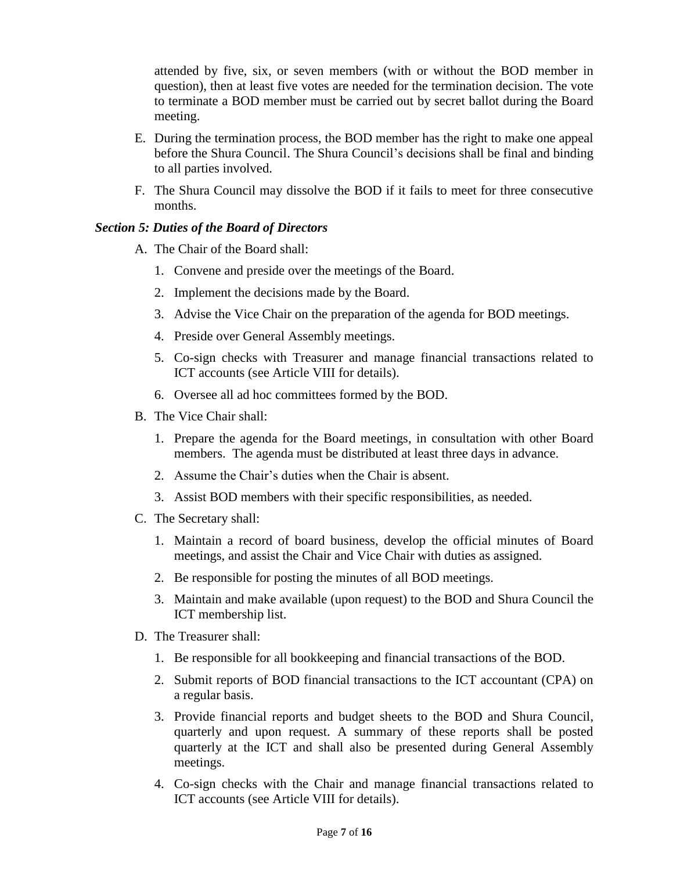attended by five, six, or seven members (with or without the BOD member in question), then at least five votes are needed for the termination decision. The vote to terminate a BOD member must be carried out by secret ballot during the Board meeting.

- E. During the termination process, the BOD member has the right to make one appeal before the Shura Council. The Shura Council's decisions shall be final and binding to all parties involved.
- F. The Shura Council may dissolve the BOD if it fails to meet for three consecutive months.

## *Section 5: Duties of the Board of Directors*

- A. The Chair of the Board shall:
	- 1. Convene and preside over the meetings of the Board.
	- 2. Implement the decisions made by the Board.
	- 3. Advise the Vice Chair on the preparation of the agenda for BOD meetings.
	- 4. Preside over General Assembly meetings.
	- 5. Co-sign checks with Treasurer and manage financial transactions related to ICT accounts (see Article VIII for details).
	- 6. Oversee all ad hoc committees formed by the BOD.
- B. The Vice Chair shall:
	- 1. Prepare the agenda for the Board meetings, in consultation with other Board members. The agenda must be distributed at least three days in advance.
	- 2. Assume the Chair's duties when the Chair is absent.
	- 3. Assist BOD members with their specific responsibilities, as needed.
- C. The Secretary shall:
	- 1. Maintain a record of board business, develop the official minutes of Board meetings, and assist the Chair and Vice Chair with duties as assigned.
	- 2. Be responsible for posting the minutes of all BOD meetings.
	- 3. Maintain and make available (upon request) to the BOD and Shura Council the ICT membership list.
- D. The Treasurer shall:
	- 1. Be responsible for all bookkeeping and financial transactions of the BOD.
	- 2. Submit reports of BOD financial transactions to the ICT accountant (CPA) on a regular basis.
	- 3. Provide financial reports and budget sheets to the BOD and Shura Council, quarterly and upon request. A summary of these reports shall be posted quarterly at the ICT and shall also be presented during General Assembly meetings.
	- 4. Co-sign checks with the Chair and manage financial transactions related to ICT accounts (see Article VIII for details).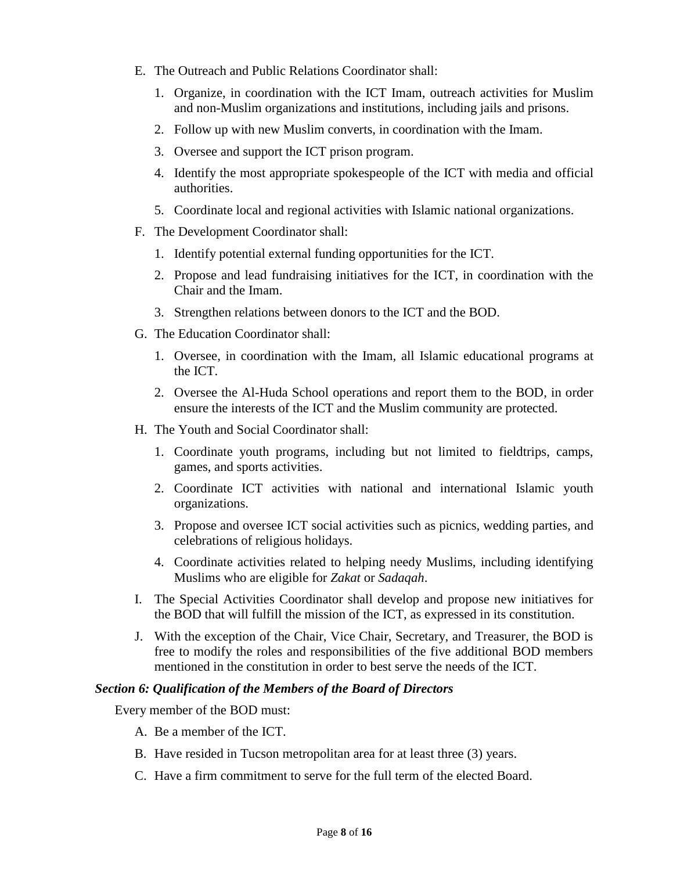- E. The Outreach and Public Relations Coordinator shall:
	- 1. Organize, in coordination with the ICT Imam, outreach activities for Muslim and non-Muslim organizations and institutions, including jails and prisons.
	- 2. Follow up with new Muslim converts, in coordination with the Imam.
	- 3. Oversee and support the ICT prison program.
	- 4. Identify the most appropriate spokespeople of the ICT with media and official authorities.
	- 5. Coordinate local and regional activities with Islamic national organizations.
- F. The Development Coordinator shall:
	- 1. Identify potential external funding opportunities for the ICT.
	- 2. Propose and lead fundraising initiatives for the ICT, in coordination with the Chair and the Imam.
	- 3. Strengthen relations between donors to the ICT and the BOD.
- G. The Education Coordinator shall:
	- 1. Oversee, in coordination with the Imam, all Islamic educational programs at the ICT.
	- 2. Oversee the Al-Huda School operations and report them to the BOD, in order ensure the interests of the ICT and the Muslim community are protected.
- H. The Youth and Social Coordinator shall:
	- 1. Coordinate youth programs, including but not limited to fieldtrips, camps, games, and sports activities.
	- 2. Coordinate ICT activities with national and international Islamic youth organizations.
	- 3. Propose and oversee ICT social activities such as picnics, wedding parties, and celebrations of religious holidays.
	- 4. Coordinate activities related to helping needy Muslims, including identifying Muslims who are eligible for *Zakat* or *Sadaqah*.
- I. The Special Activities Coordinator shall develop and propose new initiatives for the BOD that will fulfill the mission of the ICT, as expressed in its constitution.
- J. With the exception of the Chair, Vice Chair, Secretary, and Treasurer, the BOD is free to modify the roles and responsibilities of the five additional BOD members mentioned in the constitution in order to best serve the needs of the ICT.

#### *Section 6: Qualification of the Members of the Board of Directors*

Every member of the BOD must:

- A. Be a member of the ICT.
- B. Have resided in Tucson metropolitan area for at least three (3) years.
- C. Have a firm commitment to serve for the full term of the elected Board.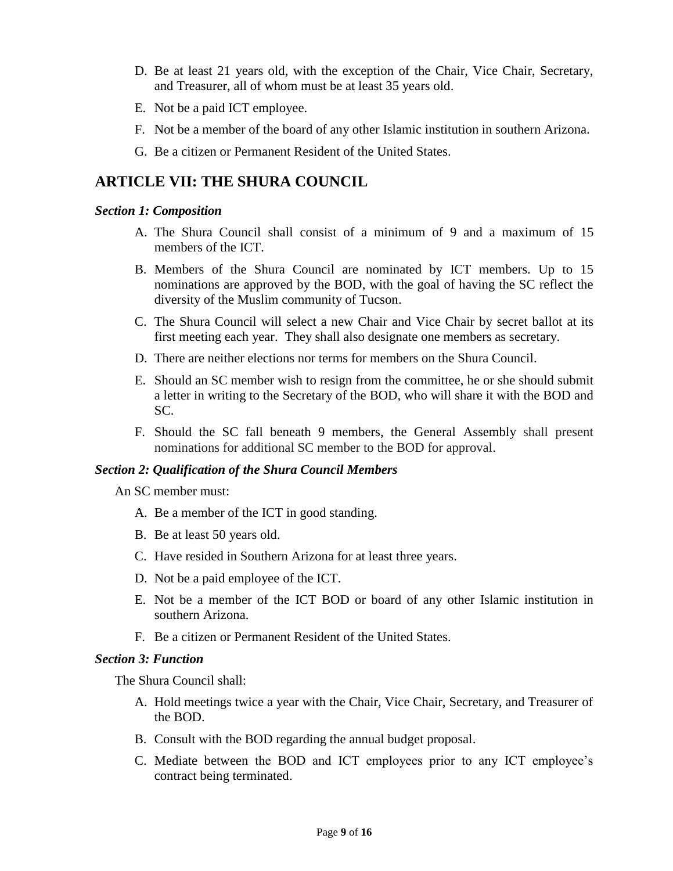- D. Be at least 21 years old, with the exception of the Chair, Vice Chair, Secretary, and Treasurer, all of whom must be at least 35 years old.
- E. Not be a paid ICT employee.
- F. Not be a member of the board of any other Islamic institution in southern Arizona.
- G. Be a citizen or Permanent Resident of the United States.

## **ARTICLE VII: THE SHURA COUNCIL**

#### *Section 1: Composition*

- A. The Shura Council shall consist of a minimum of 9 and a maximum of 15 members of the ICT.
- B. Members of the Shura Council are nominated by ICT members. Up to 15 nominations are approved by the BOD, with the goal of having the SC reflect the diversity of the Muslim community of Tucson.
- C. The Shura Council will select a new Chair and Vice Chair by secret ballot at its first meeting each year. They shall also designate one members as secretary.
- D. There are neither elections nor terms for members on the Shura Council.
- E. Should an SC member wish to resign from the committee, he or she should submit a letter in writing to the Secretary of the BOD, who will share it with the BOD and SC.
- F. Should the SC fall beneath 9 members, the General Assembly shall present nominations for additional SC member to the BOD for approval.

## *Section 2: Qualification of the Shura Council Members*

An SC member must:

- A. Be a member of the ICT in good standing.
- B. Be at least 50 years old.
- C. Have resided in Southern Arizona for at least three years.
- D. Not be a paid employee of the ICT.
- E. Not be a member of the ICT BOD or board of any other Islamic institution in southern Arizona.
- F. Be a citizen or Permanent Resident of the United States.

## *Section 3: Function*

The Shura Council shall:

- A. Hold meetings twice a year with the Chair, Vice Chair, Secretary, and Treasurer of the BOD.
- B. Consult with the BOD regarding the annual budget proposal.
- C. Mediate between the BOD and ICT employees prior to any ICT employee's contract being terminated.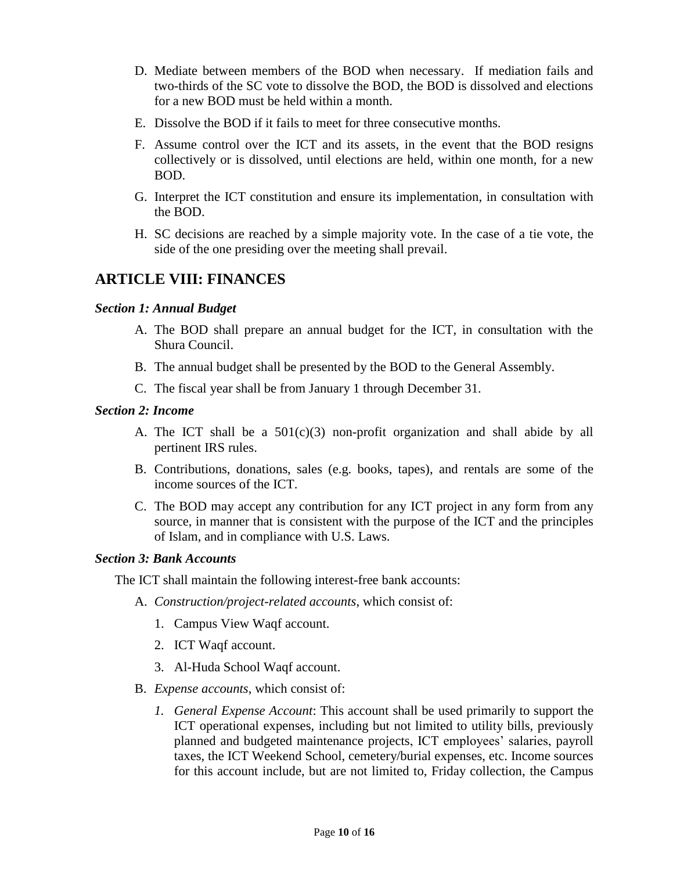- D. Mediate between members of the BOD when necessary. If mediation fails and two-thirds of the SC vote to dissolve the BOD, the BOD is dissolved and elections for a new BOD must be held within a month.
- E. Dissolve the BOD if it fails to meet for three consecutive months.
- F. Assume control over the ICT and its assets, in the event that the BOD resigns collectively or is dissolved, until elections are held, within one month, for a new BOD.
- G. Interpret the ICT constitution and ensure its implementation, in consultation with the BOD.
- H. SC decisions are reached by a simple majority vote. In the case of a tie vote, the side of the one presiding over the meeting shall prevail.

# **ARTICLE VIII: FINANCES**

## *Section 1: Annual Budget*

- A. The BOD shall prepare an annual budget for the ICT, in consultation with the Shura Council.
- B. The annual budget shall be presented by the BOD to the General Assembly.
- C. The fiscal year shall be from January 1 through December 31.

### *Section 2: Income*

- A. The ICT shall be a 501(c)(3) non-profit organization and shall abide by all pertinent IRS rules.
- B. Contributions, donations, sales (e.g. books, tapes), and rentals are some of the income sources of the ICT.
- C. The BOD may accept any contribution for any ICT project in any form from any source, in manner that is consistent with the purpose of the ICT and the principles of Islam, and in compliance with U.S. Laws.

#### *Section 3: Bank Accounts*

The ICT shall maintain the following interest-free bank accounts:

- A. *Construction/project-related accounts*, which consist of:
	- 1. Campus View Waqf account.
	- 2. ICT Waqf account.
	- 3. Al-Huda School Waqf account.
- B. *Expense accounts*, which consist of:
	- *1. General Expense Account*: This account shall be used primarily to support the ICT operational expenses, including but not limited to utility bills, previously planned and budgeted maintenance projects, ICT employees' salaries, payroll taxes, the ICT Weekend School, cemetery/burial expenses, etc. Income sources for this account include, but are not limited to, Friday collection, the Campus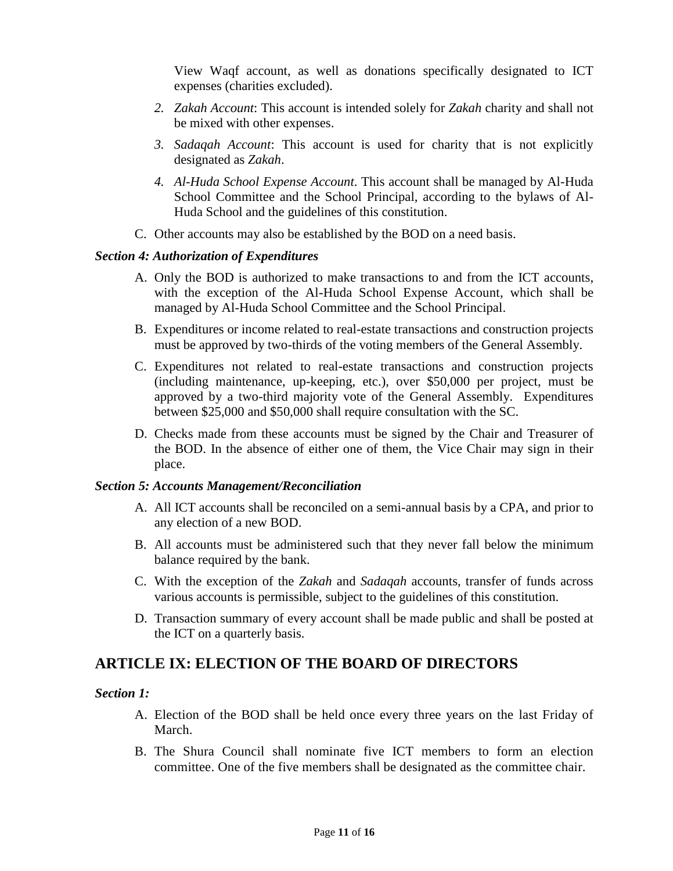View Waqf account, as well as donations specifically designated to ICT expenses (charities excluded).

- *2. Zakah Account*: This account is intended solely for *Zakah* charity and shall not be mixed with other expenses.
- *3. Sadaqah Account*: This account is used for charity that is not explicitly designated as *Zakah*.
- *4. Al-Huda School Expense Account*. This account shall be managed by Al-Huda School Committee and the School Principal, according to the bylaws of Al-Huda School and the guidelines of this constitution.
- C. Other accounts may also be established by the BOD on a need basis.

### *Section 4: Authorization of Expenditures*

- A. Only the BOD is authorized to make transactions to and from the ICT accounts, with the exception of the Al-Huda School Expense Account, which shall be managed by Al-Huda School Committee and the School Principal.
- B. Expenditures or income related to real-estate transactions and construction projects must be approved by two-thirds of the voting members of the General Assembly.
- C. Expenditures not related to real-estate transactions and construction projects (including maintenance, up-keeping, etc.), over \$50,000 per project, must be approved by a two-third majority vote of the General Assembly. Expenditures between \$25,000 and \$50,000 shall require consultation with the SC.
- D. Checks made from these accounts must be signed by the Chair and Treasurer of the BOD. In the absence of either one of them, the Vice Chair may sign in their place.

## *Section 5: Accounts Management/Reconciliation*

- A. All ICT accounts shall be reconciled on a semi-annual basis by a CPA, and prior to any election of a new BOD.
- B. All accounts must be administered such that they never fall below the minimum balance required by the bank.
- C. With the exception of the *Zakah* and *Sadaqah* accounts, transfer of funds across various accounts is permissible, subject to the guidelines of this constitution.
- D. Transaction summary of every account shall be made public and shall be posted at the ICT on a quarterly basis.

# **ARTICLE IX: ELECTION OF THE BOARD OF DIRECTORS**

#### *Section 1:*

- A. Election of the BOD shall be held once every three years on the last Friday of March.
- B. The Shura Council shall nominate five ICT members to form an election committee. One of the five members shall be designated as the committee chair.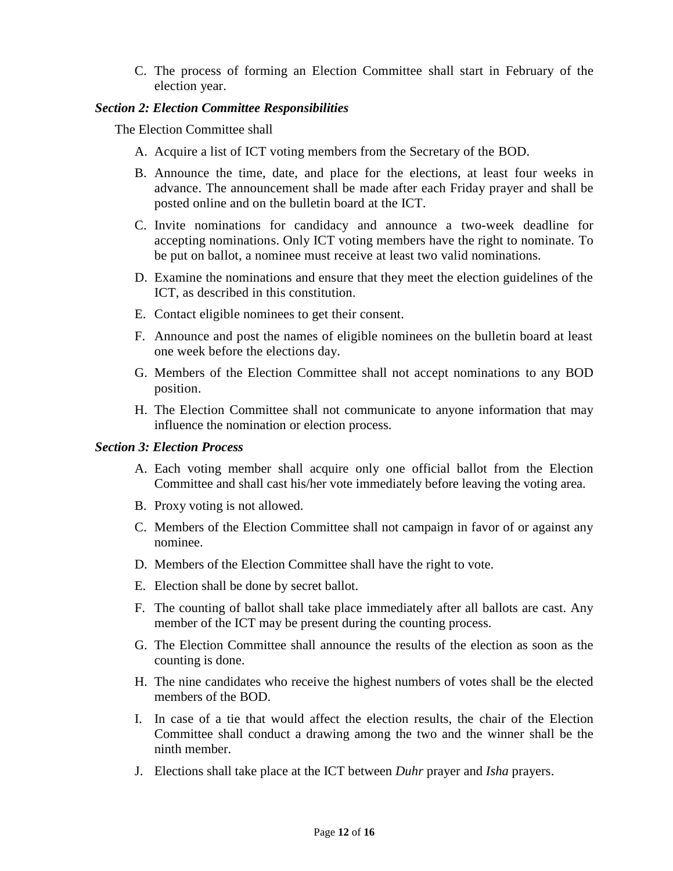C. The process of forming an Election Committee shall start in February of the election year.

### *Section 2: Election Committee Responsibilities*

The Election Committee shall

- A. Acquire a list of ICT voting members from the Secretary of the BOD.
- B. Announce the time, date, and place for the elections, at least four weeks in advance. The announcement shall be made after each Friday prayer and shall be posted online and on the bulletin board at the ICT.
- C. Invite nominations for candidacy and announce a two-week deadline for accepting nominations. Only ICT voting members have the right to nominate. To be put on ballot, a nominee must receive at least two valid nominations.
- D. Examine the nominations and ensure that they meet the election guidelines of the ICT, as described in this constitution.
- E. Contact eligible nominees to get their consent.
- F. Announce and post the names of eligible nominees on the bulletin board at least one week before the elections day.
- G. Members of the Election Committee shall not accept nominations to any BOD position.
- H. The Election Committee shall not communicate to anyone information that may influence the nomination or election process.

### *Section 3: Election Process*

- A. Each voting member shall acquire only one official ballot from the Election Committee and shall cast his/her vote immediately before leaving the voting area.
- B. Proxy voting is not allowed.
- C. Members of the Election Committee shall not campaign in favor of or against any nominee.
- D. Members of the Election Committee shall have the right to vote.
- E. Election shall be done by secret ballot.
- F. The counting of ballot shall take place immediately after all ballots are cast. Any member of the ICT may be present during the counting process.
- G. The Election Committee shall announce the results of the election as soon as the counting is done.
- H. The nine candidates who receive the highest numbers of votes shall be the elected members of the BOD.
- I. In case of a tie that would affect the election results, the chair of the Election Committee shall conduct a drawing among the two and the winner shall be the ninth member.
- J. Elections shall take place at the ICT between *Duhr* prayer and *Isha* prayers.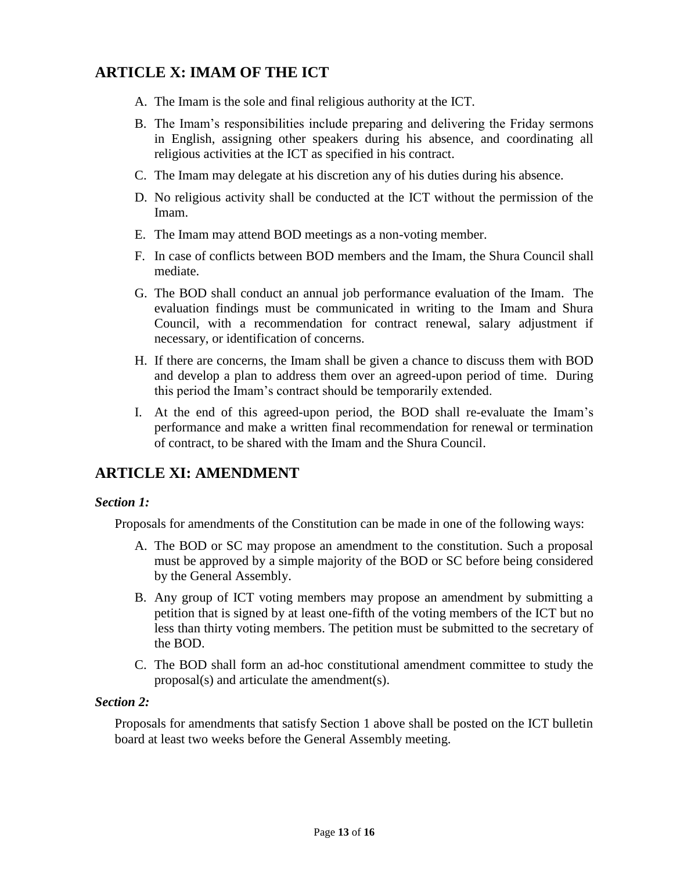# **ARTICLE X: IMAM OF THE ICT**

- A. The Imam is the sole and final religious authority at the ICT.
- B. The Imam's responsibilities include preparing and delivering the Friday sermons in English, assigning other speakers during his absence, and coordinating all religious activities at the ICT as specified in his contract.
- C. The Imam may delegate at his discretion any of his duties during his absence.
- D. No religious activity shall be conducted at the ICT without the permission of the Imam.
- E. The Imam may attend BOD meetings as a non-voting member.
- F. In case of conflicts between BOD members and the Imam, the Shura Council shall mediate.
- G. The BOD shall conduct an annual job performance evaluation of the Imam. The evaluation findings must be communicated in writing to the Imam and Shura Council, with a recommendation for contract renewal, salary adjustment if necessary, or identification of concerns.
- H. If there are concerns, the Imam shall be given a chance to discuss them with BOD and develop a plan to address them over an agreed-upon period of time. During this period the Imam's contract should be temporarily extended.
- I. At the end of this agreed-upon period, the BOD shall re-evaluate the Imam's performance and make a written final recommendation for renewal or termination of contract, to be shared with the Imam and the Shura Council.

# **ARTICLE XI: AMENDMENT**

## *Section 1:*

Proposals for amendments of the Constitution can be made in one of the following ways:

- A. The BOD or SC may propose an amendment to the constitution. Such a proposal must be approved by a simple majority of the BOD or SC before being considered by the General Assembly.
- B. Any group of ICT voting members may propose an amendment by submitting a petition that is signed by at least one-fifth of the voting members of the ICT but no less than thirty voting members. The petition must be submitted to the secretary of the BOD.
- C. The BOD shall form an ad-hoc constitutional amendment committee to study the proposal(s) and articulate the amendment(s).

## *Section 2:*

Proposals for amendments that satisfy Section 1 above shall be posted on the ICT bulletin board at least two weeks before the General Assembly meeting.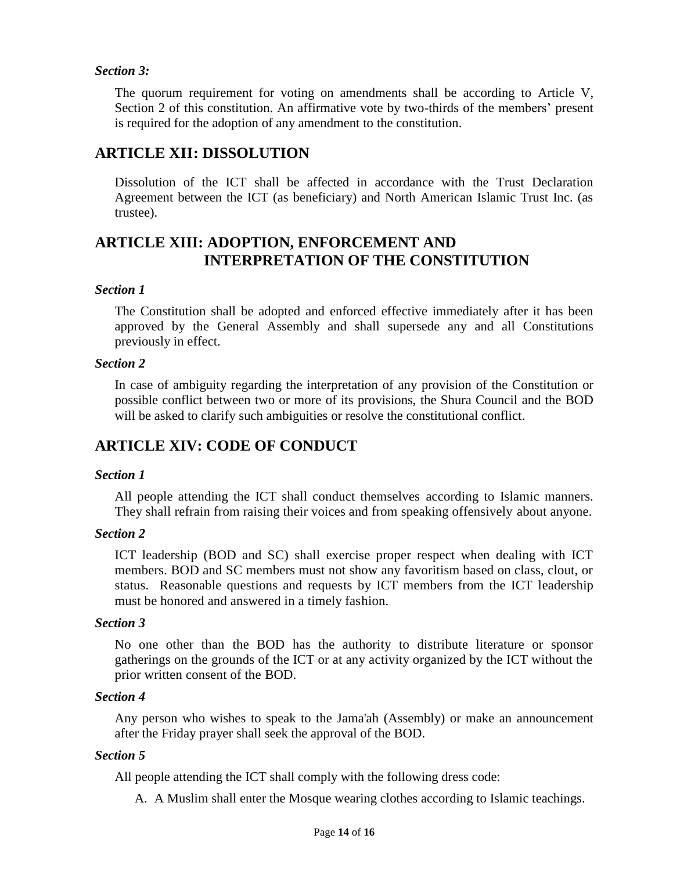## *Section 3:*

The quorum requirement for voting on amendments shall be according to Article V, Section 2 of this constitution. An affirmative vote by two-thirds of the members' present is required for the adoption of any amendment to the constitution.

# **ARTICLE XII: DISSOLUTION**

Dissolution of the ICT shall be affected in accordance with the Trust Declaration Agreement between the ICT (as beneficiary) and North American Islamic Trust Inc. (as trustee).

# **ARTICLE XIII: ADOPTION, ENFORCEMENT AND INTERPRETATION OF THE CONSTITUTION**

## *Section 1*

The Constitution shall be adopted and enforced effective immediately after it has been approved by the General Assembly and shall supersede any and all Constitutions previously in effect.

## *Section 2*

In case of ambiguity regarding the interpretation of any provision of the Constitution or possible conflict between two or more of its provisions, the Shura Council and the BOD will be asked to clarify such ambiguities or resolve the constitutional conflict.

# **ARTICLE XIV: CODE OF CONDUCT**

## *Section 1*

All people attending the ICT shall conduct themselves according to Islamic manners. They shall refrain from raising their voices and from speaking offensively about anyone.

## *Section 2*

ICT leadership (BOD and SC) shall exercise proper respect when dealing with ICT members. BOD and SC members must not show any favoritism based on class, clout, or status. Reasonable questions and requests by ICT members from the ICT leadership must be honored and answered in a timely fashion.

## *Section 3*

No one other than the BOD has the authority to distribute literature or sponsor gatherings on the grounds of the ICT or at any activity organized by the ICT without the prior written consent of the BOD.

## *Section 4*

Any person who wishes to speak to the Jama'ah (Assembly) or make an announcement after the Friday prayer shall seek the approval of the BOD.

## *Section 5*

All people attending the ICT shall comply with the following dress code:

A. A Muslim shall enter the Mosque wearing clothes according to Islamic teachings.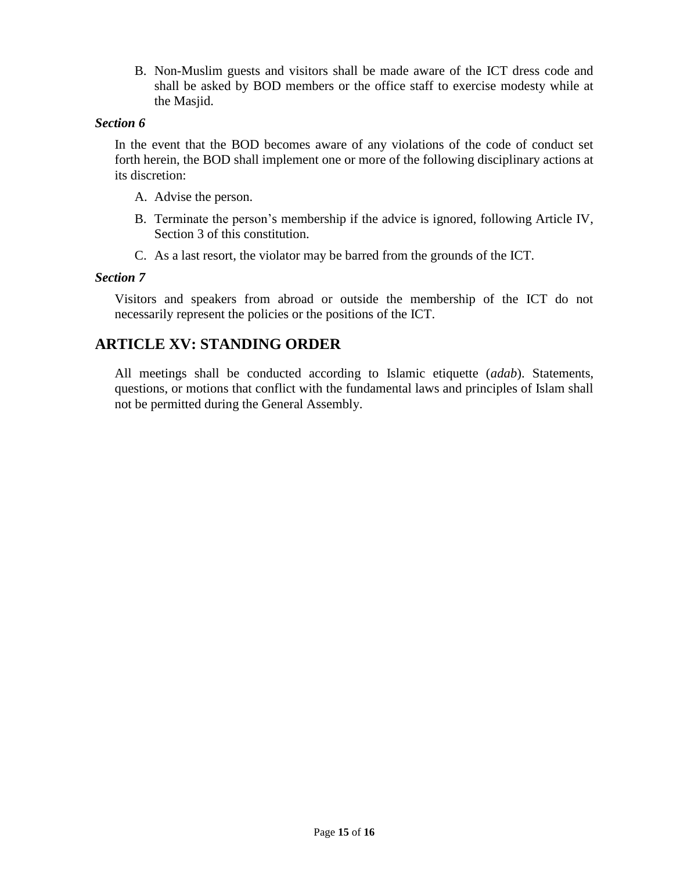B. Non-Muslim guests and visitors shall be made aware of the ICT dress code and shall be asked by BOD members or the office staff to exercise modesty while at the Masjid.

### *Section 6*

In the event that the BOD becomes aware of any violations of the code of conduct set forth herein, the BOD shall implement one or more of the following disciplinary actions at its discretion:

- A. Advise the person.
- B. Terminate the person's membership if the advice is ignored, following Article IV, Section 3 of this constitution.
- C. As a last resort, the violator may be barred from the grounds of the ICT.

### *Section 7*

Visitors and speakers from abroad or outside the membership of the ICT do not necessarily represent the policies or the positions of the ICT.

# **ARTICLE XV: STANDING ORDER**

All meetings shall be conducted according to Islamic etiquette (*adab*). Statements, questions, or motions that conflict with the fundamental laws and principles of Islam shall not be permitted during the General Assembly.